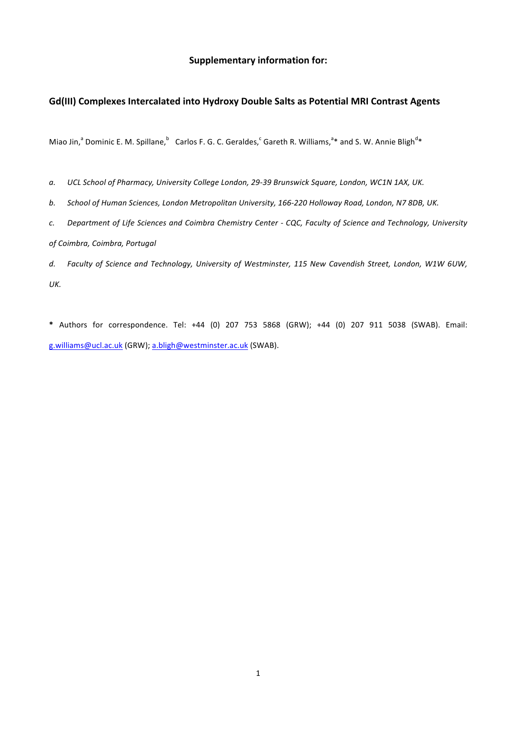## **Supplementary information for:**

## Gd(III) Complexes Intercalated into Hydroxy Double Salts as Potential MRI Contrast Agents

Miao Jin,<sup>a</sup> Dominic E. M. Spillane,  $^{\circ}$  Carlos F. G. C. Geraldes,  $^c$  Gareth R. Williams,  $^{a*}$  and S. W. Annie Bligh<sup>d</sup>\*

a. UCL School of Pharmacy, University College London, 29-39 Brunswick Square, London, WC1N 1AX, UK.

b. School of Human Sciences, London Metropolitan University, 166-220 Holloway Road, London, N7 8DB, UK.

*c. Department of Life Sciences and Coimbra Chemistry Center - CQC, Faculty of Science and Technology, University of Coimbra, Coimbra, Portugal*

d. Faculty of Science and Technology, University of Westminster, 115 New Cavendish Street, London, W1W 6UW, *UK.*

**\***  Authors for correspondence. Tel: +44 (0) 207 753 5868 (GRW); +44 (0) 207 911 5038 (SWAB). Email: g.williams@ucl.ac.uk (GRW); a.bligh@westminster.ac.uk (SWAB).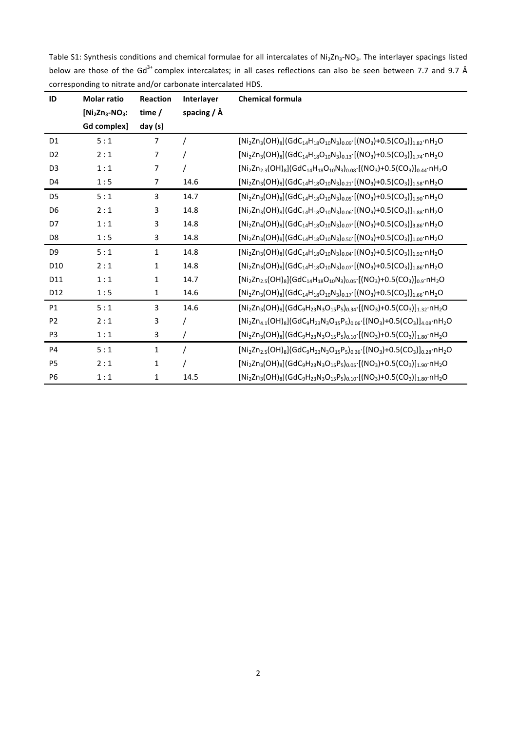Table S1: Synthesis conditions and chemical formulae for all intercalates of Ni<sub>2</sub>Zn<sub>3</sub>-NO<sub>3</sub>. The interlayer spacings listed below are those of the Gd<sup>3+</sup> complex intercalates; in all cases reflections can also be seen between 7.7 and 9.7 Å corresponding to nitrate and/or carbonate intercalated HDS.

| ID              | <b>Molar ratio</b> | <b>Reaction</b> | Interlayer      | <b>Chemical formula</b>                                                                                          |  |
|-----------------|--------------------|-----------------|-----------------|------------------------------------------------------------------------------------------------------------------|--|
|                 | $[Ni2Zn3-NO3$ :    | time /          | spacing $/ \AA$ |                                                                                                                  |  |
|                 | Gd complex]        | day (s)         |                 |                                                                                                                  |  |
| D <sub>1</sub>  | 5:1                | $\overline{7}$  |                 | $[Ni2Zn3(OH)8](GdC14H18O10N3)0.09·[(NO3)+0.5(CO3)]1.82·nH2O$                                                     |  |
| D <sub>2</sub>  | 2:1                | 7               |                 | $[Ni2Zn3(OH)8](GdC14H18O10N3)0.13$ [(NO <sub>3</sub> )+0.5(CO <sub>3</sub> )] <sub>1.74</sub> nH <sub>2</sub> O  |  |
| D <sub>3</sub>  | 1:1                | $\overline{7}$  |                 | $[Ni2Zn2.3(OH)8](GdC14H18O10N3)0.08[(NO3)+0.5(CO3)]0.44·nH2O$                                                    |  |
| D <sub>4</sub>  | 1:5                | $\overline{7}$  | 14.6            | $[Ni2Zn3(OH)8](GdC14H18O10N3)0.21·[(NO3)+0.5(CO3)]1.58·nH2O$                                                     |  |
| D <sub>5</sub>  | 5:1                | 3               | 14.7            | $[Ni2Zn3(OH)8](GdC14H18O10N3)0.05·[(NO3)+0.5(CO3)]1.90·nH2O$                                                     |  |
| D <sub>6</sub>  | 2:1                | 3               | 14.8            | $[Ni2Zn3(OH)8](GdC14H18O10N3)0.06·[(NO3)+0.5(CO3)]1.88·nH2O$                                                     |  |
| D7              | 1:1                | 3               | 14.8            | $[Ni2Zn4(OH)8](GdC14H18O10N3)0.07·[(NO3)+0.5(CO3)]3.86·nH2O$                                                     |  |
| D <sub>8</sub>  | 1:5                | 3               | 14.8            | $[Ni2Zn3(OH)8](GdC14H18O10N3)0.50·[(NO3)+0.5(CO3)]1.00·nH2O$                                                     |  |
| D <sub>9</sub>  | 5:1                | $\mathbf{1}$    | 14.8            | $[Ni2Zn3(OH)8](GdC14H18O10N3)0.04·[(NO3)+0.5(CO3)]1.92·nH2O$                                                     |  |
| D <sub>10</sub> | 2:1                | $\mathbf{1}$    | 14.8            | $[Ni2Zn3(OH)8](GdC14H18O10N3)0.07[(NO3)+0.5(CO3)]1.86·nH2O$                                                      |  |
| D11             | 1:1                | 1               | 14.7            | $[Ni2Zn2.5(OH)8](GdC14H18O10N3)0.05·[(NO3)+0.5(CO3)]0.9·nH2O$                                                    |  |
| D12             | 1:5                | 1               | 14.6            | $[Ni2Zn3(OH)8](GdC14H18O10N3)0.17·[(NO3)+0.5(CO3)]1.66·nH2O$                                                     |  |
| P <sub>1</sub>  | 5:1                | 3               | 14.6            | $[Ni2Zn3(OH)8](GdC9H23N3O15P5)0.34[(NO3)+0.5(CO3)]1.32·nH2O$                                                     |  |
| P <sub>2</sub>  | 2:1                | 3               |                 | $[Ni2Zn4.1(OH)8](GdC9H23N3O15P5)0.06·[(NO3)+0.5(CO3)]4.08·nH2O$                                                  |  |
| P <sub>3</sub>  | 1:1                | 3               |                 | $[Ni2Zn3(OH)8](GdC9H23N3O15P5)0.10$ [(NO <sub>3</sub> )+0.5(CO <sub>3</sub> )] <sub>1.80</sub> nH <sub>2</sub> O |  |
| <b>P4</b>       | 5:1                | $\mathbf{1}$    | $\prime$        | $[Ni2Zn2.5(OH)8](GdC9H23N3O15P5)0.36·[(NO3)+0.5(CO3)]0.28·nH2O$                                                  |  |
| P <sub>5</sub>  | 2:1                | 1               | 7               | $[Ni2Zn3(OH)8](GdC9H23N3O15P5)0.05$ [(NO <sub>3</sub> )+0.5(CO <sub>3</sub> )] <sub>1.90</sub> nH <sub>2</sub> O |  |
| P <sub>6</sub>  | 1:1                | 1               | 14.5            | $[Ni2Zn3(OH)8](GdC9H23N3O15P5)0.10[(NO3)+0.5(CO3)]1.80·nH2O$                                                     |  |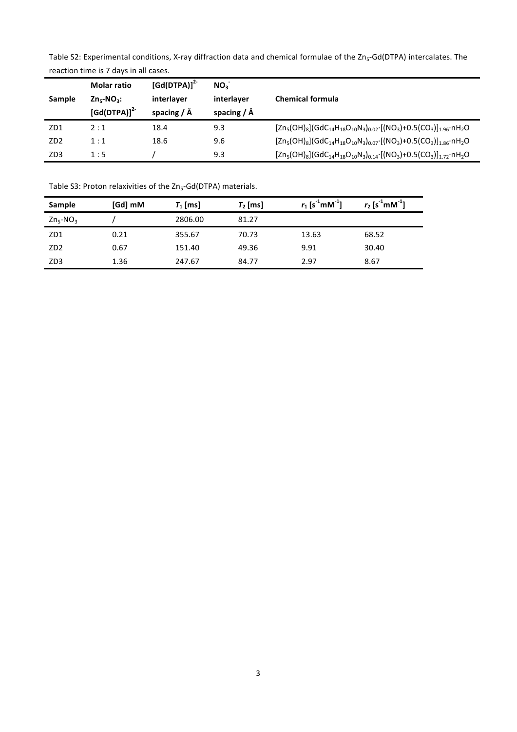Table S2: Experimental conditions, X-ray diffraction data and chemical formulae of the Zn<sub>5</sub>-Gd(DTPA) intercalates. The reaction time is 7 days in all cases.

| Sample          | <b>Molar ratio</b><br>$Zn_5-NO_3$ :<br>$[Gd(DTPA)]^{2}$ | $[Gd(DTPA)]^{2}$<br>interlayer<br>spacing $/ \AA$ | NO <sub>2</sub><br>interlayer<br>spacing $/ \AA$ | <b>Chemical formula</b>                                                                                                     |
|-----------------|---------------------------------------------------------|---------------------------------------------------|--------------------------------------------------|-----------------------------------------------------------------------------------------------------------------------------|
| ZD1             | 2:1                                                     | 18.4                                              | 9.3                                              | $[2n_5(OH)_8](GdC_{14}H_{18}O_{10}N_3)_{0.02}$ $[(NO_3)+0.5(CO_3)]_{1.96}$ $nH_2O$                                          |
| ZD <sub>2</sub> | 1:1                                                     | 18.6                                              | 9.6                                              | $[Zn_5(OH)_8](GdC_{14}H_{18}O_{10}N_3)_{0.07}$ [(NO <sub>3</sub> )+0.5(CO <sub>3</sub> )] <sub>1.86</sub> nH <sub>2</sub> O |
| ZD <sub>3</sub> | 1:5                                                     |                                                   | 9.3                                              | $[Zn_5(OH)_8](GdC_{14}H_{18}O_{10}N_3)_{0.14}$ [(NO <sub>3</sub> )+0.5(CO <sub>3</sub> )] <sub>1.72</sub> nH <sub>2</sub> O |

| Sample          | [Gd] mM | $T_1$ [ms] | $T_2$ [ms] | $r_1$ [s <sup>-1</sup> mM <sup>-1</sup> ] | $r_2$ [s <sup>-1</sup> mM <sup>-1</sup> ] |
|-----------------|---------|------------|------------|-------------------------------------------|-------------------------------------------|
| $Zn_5-NO_3$     |         | 2806.00    | 81.27      |                                           |                                           |
| ZD1             | 0.21    | 355.67     | 70.73      | 13.63                                     | 68.52                                     |
| ZD <sub>2</sub> | 0.67    | 151.40     | 49.36      | 9.91                                      | 30.40                                     |
| ZD <sub>3</sub> | 1.36    | 247.67     | 84.77      | 2.97                                      | 8.67                                      |

Table S3: Proton relaxivities of the Zn<sub>5</sub>-Gd(DTPA) materials.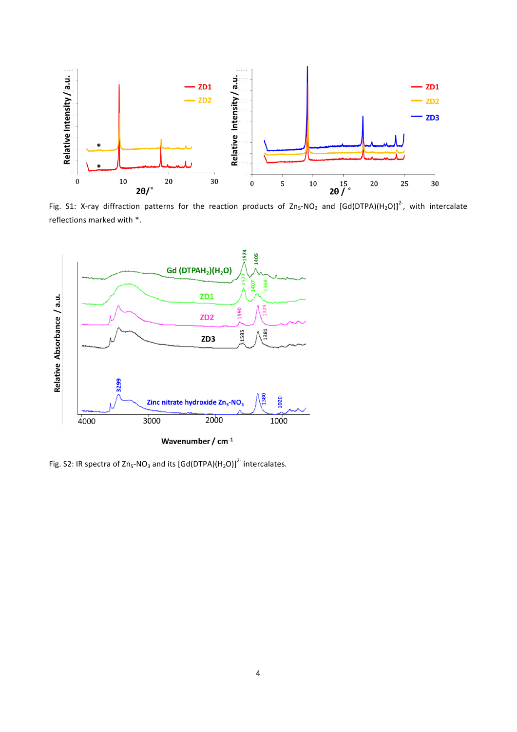

Fig. S1: X-ray diffraction patterns for the reaction products of Zn<sub>5</sub>-NO<sub>3</sub> and [Gd(DTPA)(H<sub>2</sub>O)]<sup>2-</sup>, with intercalate reflections marked with \*.



Wavenumber /  $cm^{-1}$ 

Fig. S2: IR spectra of Zn<sub>5</sub>-NO<sub>3</sub> and its  $[\text{Gd}(\text{DTPA})(\text{H}_2\text{O})]^2$  intercalates.